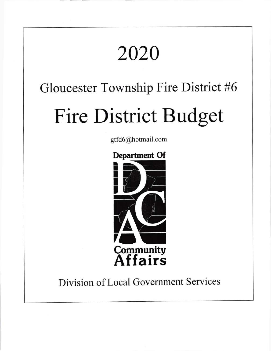# 2020 Gloucester Township Fire District #6 Fire District Budget gtfd6@hotmail.com Department Of I in<br>I I |<br>| a /**f** Communitv **Affairs**

## Division of Local Government Services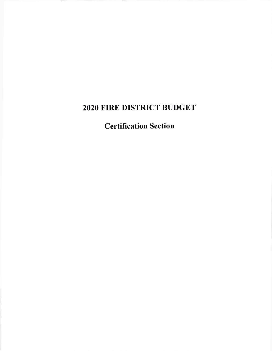## 2O2O FIRE DISTRICT BUDGET

Certification Section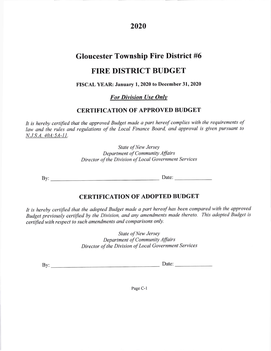2020

#### Gloucester Township Fire District #6

#### FIRE DISTRICT BUDGET

#### FISCAL YEAR: January 1,2020 to December 31,2020

For Division Use Onlv

#### CERTIFICATION OF APPROVED BUDGET

It is hereby certified that the approved Budget made a part hereof complies with the requirements of law and the rules and regulations of the Local Finance Board, and approval is given pursuant to N.J.S.A. 40A:54-11.

> State of New Jersey Department of Community Affairs Director of the Division of Local Government Services

By: Date:

#### CERTIFICATION OF ADOPTED BUDGET

It is hereby certified that the adopted Budget made a part hereof has been compared with the approved Budget previously certified by the Division, and any amendments made thereto. This adopted Budget is certified with respect to such amendments and comparisons only.

> State of New Jersey Department of Community Affairs Director of the Division of Local Government Services

By: Date

Page C-l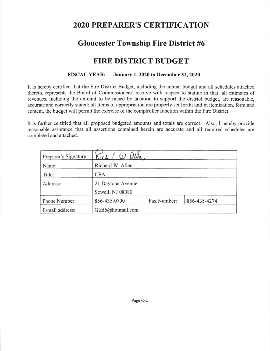### 2O2O PREPARERIS CERTIFICATION

### Gloucester Township Fire District #6

#### FIRE DISTRICT BUDGET

#### FISCAL YEAR: January l,2020 to December 31,2020

It is hereby certified that the Fire District Budget, including the annual budget and all schedules attached thereto, represents the Board of Commissioners' resolve with respect to statute in that: all estimates of revenues, including the amount to be raised by taxation to support the district budget, are reasonable, accurate and correctly stated; all items of appropriation are properly set forth; and in itemization, form and content, the budget will permit the exercise of the comptroller function within the Fire District.

It is further certified that all proposed budgeted amounts and totals are correct. Also, I hereby provide reasonable assurance that all assertions contained herein are accurate and all required schedules are completed and attached.

| Preparer's Signature: | $i$ t $l$         |             |              |  |
|-----------------------|-------------------|-------------|--------------|--|
| Name:                 | Richard W. Allen  |             |              |  |
| Title:                | <b>CPA</b>        |             |              |  |
| Address:              | 21 Daytona Avenue |             |              |  |
|                       | Sewell, NJ 08080  |             |              |  |
| Phone Number:         | 856-435-0700      | Fax Number: | 856-435-4274 |  |
| E-mail address:       | Gtfd6@hotmail.com |             |              |  |